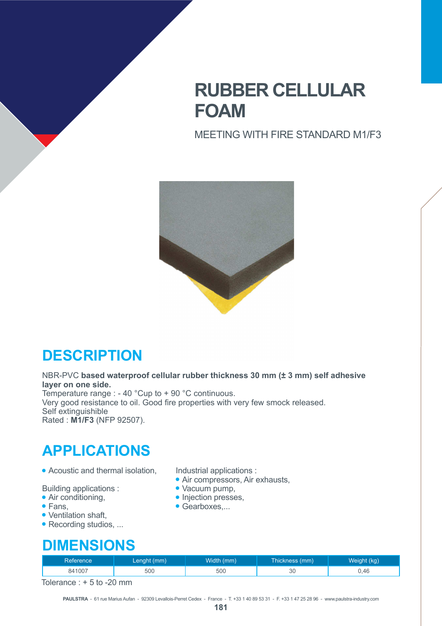# **RUBBER CELLULAR FOAM**

MEETING WITH FIRE STANDARD M1/F3



# **DESCRIPTION**

NBR-PVC **based waterproof cellular rubber thickness 30 mm (± 3 mm) self adhesive layer on one side.**  Temperature range : - 40 °Cup to + 90 °C continuous. Very good resistance to oil. Good fire properties with very few smock released. Self extinguishible Rated : **M1/F3** (NFP 92507).

 $\bullet$  Gearboxes,...

# **APPLICATIONS**

• Acoustic and thermal isolation, Industrial applications :

Building applications :<br>
• Air conditioning,<br>
• Injection presse

- Air conditioning,  $\bullet$  Injection presses,  $\bullet$  Fans.
- 
- Ventilation shaft,
- $\bullet$  Recording studios, ...

#### **DIMENSIONS**

| Reference <sup>1</sup> | Lenght (mm) | Width (mm) | Thickness (mm) | Weight (kg) |
|------------------------|-------------|------------|----------------|-------------|
| 841007                 | 500         | 500        | 30             | 0.46        |

• Air compressors, Air exhausts,

Tolerance : + 5 to -20 mm

**PAULSTRA** - 61 rue Marius Aufan - 92309 Levallois-Perret Cedex - France - T. +33 1 40 89 53 31 - F. +33 1 47 25 28 96 - www.paulstra-industry.com